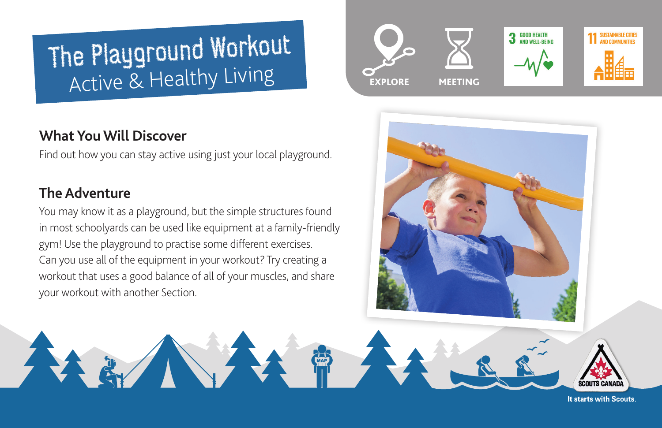# The Playground Workout Active & Healthy Living

### **What You Will Discover**

Find out how you can stay active using just your local playground.

## **The Adventure**

You may know it as a playground, but the simple structures found in most schoolyards can be used like equipment at a family-friendly gym! Use the playground to practise some different exercises. Can you use all of the equipment in your workout? Try creating a workout that uses a good balance of all of your muscles, and share your workout with another Section.





It starts with Scouts.